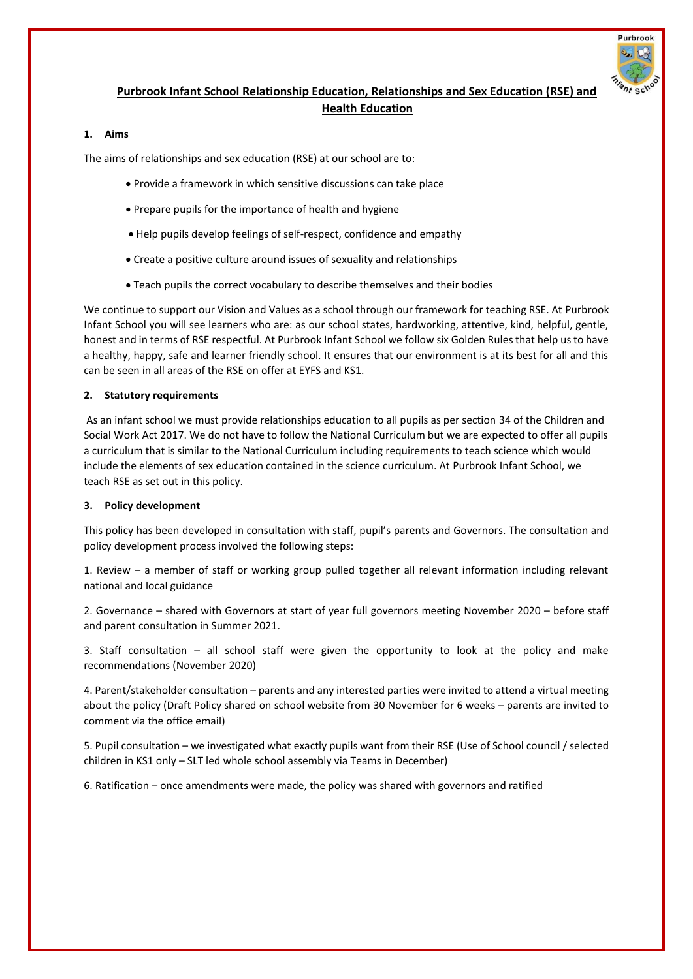

# **Purbrook Infant School Relationship Education, Relationships and Sex Education (RSE) and Health Education**

#### **1. Aims**

The aims of relationships and sex education (RSE) at our school are to:

- Provide a framework in which sensitive discussions can take place
- Prepare pupils for the importance of health and hygiene
- Help pupils develop feelings of self-respect, confidence and empathy
- Create a positive culture around issues of sexuality and relationships
- Teach pupils the correct vocabulary to describe themselves and their bodies

We continue to support our Vision and Values as a school through our framework for teaching RSE. At Purbrook Infant School you will see learners who are: as our school states, hardworking, attentive, kind, helpful, gentle, honest and in terms of RSE respectful. At Purbrook Infant School we follow six Golden Rules that help us to have a healthy, happy, safe and learner friendly school. It ensures that our environment is at its best for all and this can be seen in all areas of the RSE on offer at EYFS and KS1.

#### **2. Statutory requirements**

As an infant school we must provide relationships education to all pupils as per section 34 of the Children and Social Work Act 2017. We do not have to follow the National Curriculum but we are expected to offer all pupils a curriculum that is similar to the National Curriculum including requirements to teach science which would include the elements of sex education contained in the science curriculum. At Purbrook Infant School, we teach RSE as set out in this policy.

#### **3. Policy development**

This policy has been developed in consultation with staff, pupil's parents and Governors. The consultation and policy development process involved the following steps:

1. Review – a member of staff or working group pulled together all relevant information including relevant national and local guidance

2. Governance – shared with Governors at start of year full governors meeting November 2020 – before staff and parent consultation in Summer 2021.

3. Staff consultation – all school staff were given the opportunity to look at the policy and make recommendations (November 2020)

4. Parent/stakeholder consultation – parents and any interested parties were invited to attend a virtual meeting about the policy (Draft Policy shared on school website from 30 November for 6 weeks – parents are invited to comment via the office email)

5. Pupil consultation – we investigated what exactly pupils want from their RSE (Use of School council / selected children in KS1 only – SLT led whole school assembly via Teams in December)

6. Ratification – once amendments were made, the policy was shared with governors and ratified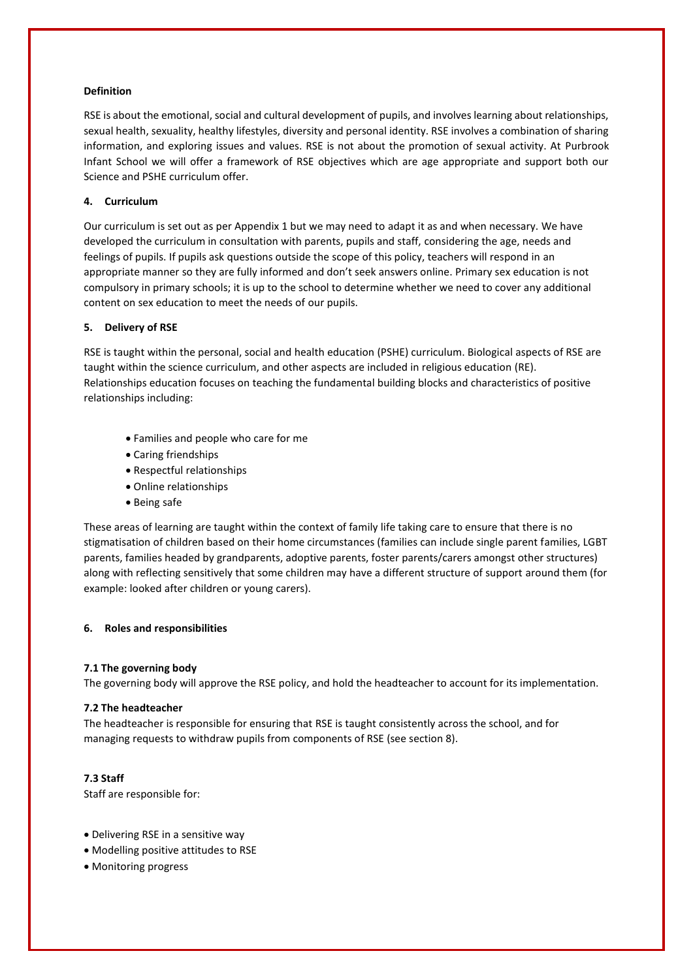## **Definition**

RSE is about the emotional, social and cultural development of pupils, and involves learning about relationships, sexual health, sexuality, healthy lifestyles, diversity and personal identity. RSE involves a combination of sharing information, and exploring issues and values. RSE is not about the promotion of sexual activity. At Purbrook Infant School we will offer a framework of RSE objectives which are age appropriate and support both our Science and PSHE curriculum offer.

# **4. Curriculum**

Our curriculum is set out as per Appendix 1 but we may need to adapt it as and when necessary. We have developed the curriculum in consultation with parents, pupils and staff, considering the age, needs and feelings of pupils. If pupils ask questions outside the scope of this policy, teachers will respond in an appropriate manner so they are fully informed and don't seek answers online. Primary sex education is not compulsory in primary schools; it is up to the school to determine whether we need to cover any additional content on sex education to meet the needs of our pupils.

## **5. Delivery of RSE**

RSE is taught within the personal, social and health education (PSHE) curriculum. Biological aspects of RSE are taught within the science curriculum, and other aspects are included in religious education (RE). Relationships education focuses on teaching the fundamental building blocks and characteristics of positive relationships including:

- Families and people who care for me
- Caring friendships
- Respectful relationships
- Online relationships
- Being safe

These areas of learning are taught within the context of family life taking care to ensure that there is no stigmatisation of children based on their home circumstances (families can include single parent families, LGBT parents, families headed by grandparents, adoptive parents, foster parents/carers amongst other structures) along with reflecting sensitively that some children may have a different structure of support around them (for example: looked after children or young carers).

## **6. Roles and responsibilities**

## **7.1 The governing body**

The governing body will approve the RSE policy, and hold the headteacher to account for its implementation.

## **7.2 The headteacher**

The headteacher is responsible for ensuring that RSE is taught consistently across the school, and for managing requests to withdraw pupils from components of RSE (see section 8).

## **7.3 Staff**

Staff are responsible for:

- Delivering RSE in a sensitive way
- Modelling positive attitudes to RSE
- Monitoring progress